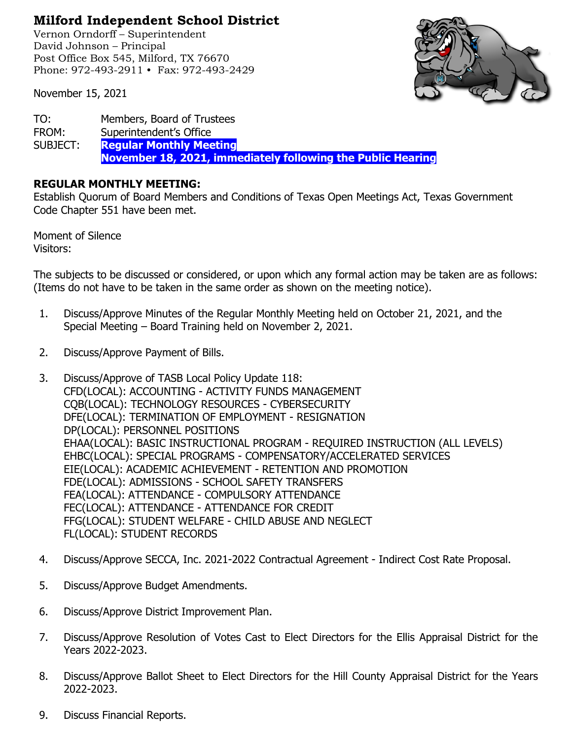## **Milford Independent School District**

Vernon Orndorff – Superintendent David Johnson – Principal Post Office Box 545, Milford, TX 76670 Phone: 972-493-2911 • Fax: 972-493-2429

November 15, 2021



TO: Members, Board of Trustees FROM: Superintendent's Office SUBJECT: **Regular Monthly Meeting November 18, 2021, immediately following the Public Hearing**

## **REGULAR MONTHLY MEETING:**

Establish Quorum of Board Members and Conditions of Texas Open Meetings Act, Texas Government Code Chapter 551 have been met.

Moment of Silence Visitors:

The subjects to be discussed or considered, or upon which any formal action may be taken are as follows: (Items do not have to be taken in the same order as shown on the meeting notice).

- 1. Discuss/Approve Minutes of the Regular Monthly Meeting held on October 21, 2021, and the Special Meeting – Board Training held on November 2, 2021.
- 2. Discuss/Approve Payment of Bills.
- 3. Discuss/Approve of TASB Local Policy Update 118: CFD(LOCAL): ACCOUNTING - ACTIVITY FUNDS MANAGEMENT CQB(LOCAL): TECHNOLOGY RESOURCES - CYBERSECURITY DFE(LOCAL): TERMINATION OF EMPLOYMENT - RESIGNATION DP(LOCAL): PERSONNEL POSITIONS EHAA(LOCAL): BASIC INSTRUCTIONAL PROGRAM - REQUIRED INSTRUCTION (ALL LEVELS) EHBC(LOCAL): SPECIAL PROGRAMS - COMPENSATORY/ACCELERATED SERVICES EIE(LOCAL): ACADEMIC ACHIEVEMENT - RETENTION AND PROMOTION FDE(LOCAL): ADMISSIONS - SCHOOL SAFETY TRANSFERS FEA(LOCAL): ATTENDANCE - COMPULSORY ATTENDANCE FEC(LOCAL): ATTENDANCE - ATTENDANCE FOR CREDIT FFG(LOCAL): STUDENT WELFARE - CHILD ABUSE AND NEGLECT FL(LOCAL): STUDENT RECORDS
- 4. Discuss/Approve SECCA, Inc. 2021-2022 Contractual Agreement Indirect Cost Rate Proposal.
- 5. Discuss/Approve Budget Amendments.
- 6. Discuss/Approve District Improvement Plan.
- 7. Discuss/Approve Resolution of Votes Cast to Elect Directors for the Ellis Appraisal District for the Years 2022-2023.
- 8. Discuss/Approve Ballot Sheet to Elect Directors for the Hill County Appraisal District for the Years 2022-2023.
- 9. Discuss Financial Reports.